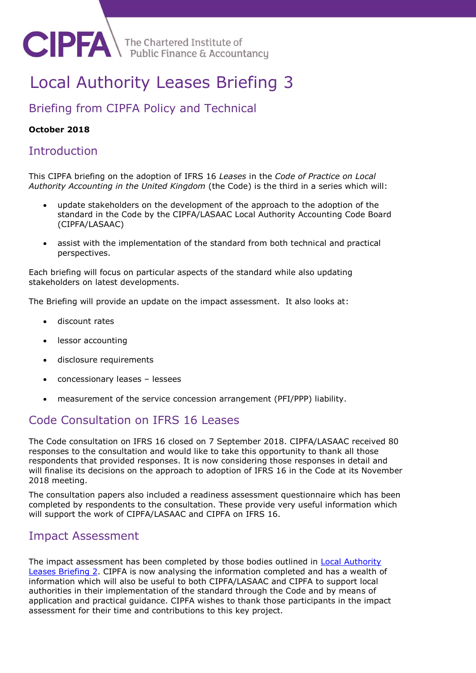

The Chartered Institute of<br>Public Finance & Accountancy

# Local Authority Leases Briefing 3

# Briefing from CIPFA Policy and Technical

#### **October 2018**

# **Introduction**

This CIPFA briefing on the adoption of IFRS 16 *Leases* in the *Code of Practice on Local Authority Accounting in the United Kingdom* (the Code) is the third in a series which will:

- update stakeholders on the development of the approach to the adoption of the standard in the Code by the CIPFA/LASAAC Local Authority Accounting Code Board (CIPFA/LASAAC)
- assist with the implementation of the standard from both technical and practical perspectives.

Each briefing will focus on particular aspects of the standard while also updating stakeholders on latest developments.

The Briefing will provide an update on the impact assessment. It also looks at:

- discount rates
- lessor accounting
- disclosure requirements
- concessionary leases lessees
- measurement of the service concession arrangement (PFI/PPP) liability.

# Code Consultation on IFRS 16 Leases

The Code consultation on IFRS 16 closed on 7 September 2018. CIPFA/LASAAC received 80 responses to the consultation and would like to take this opportunity to thank all those respondents that provided responses. It is now considering those responses in detail and will finalise its decisions on the approach to adoption of IFRS 16 in the Code at its November 2018 meeting.

The consultation papers also included a readiness assessment questionnaire which has been completed by respondents to the consultation. These provide very useful information which will support the work of CIPFA/LASAAC and CIPFA on IFRS 16.

# Impact Assessment

The impact assessment has been completed by those bodies outlined in [Local Authority](file:///C:/Users/SarahS/Downloads/Local-Authority-Leasing-Briefing-Number-2--Post-CL-1-version-2%20(4).pdf)  [Leases Briefing 2.](file:///C:/Users/SarahS/Downloads/Local-Authority-Leasing-Briefing-Number-2--Post-CL-1-version-2%20(4).pdf) CIPFA is now analysing the information completed and has a wealth of information which will also be useful to both CIPFA/LASAAC and CIPFA to support local authorities in their implementation of the standard through the Code and by means of application and practical guidance. CIPFA wishes to thank those participants in the impact assessment for their time and contributions to this key project.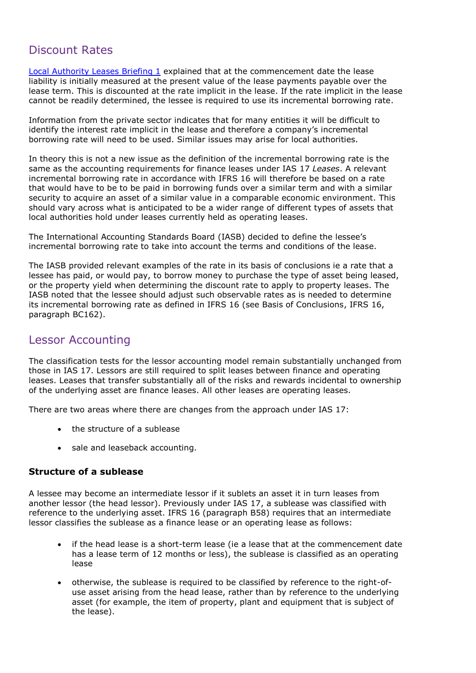# Discount Rates

[Local Authority Leases Briefing 1](file:///C:/Users/SarahS/Downloads/Local_Authority_Leasing_Briefing_Number_1_For_Issue%20(3).pdf) explained that at the commencement date the lease liability is initially measured at the present value of the lease payments payable over the lease term. This is discounted at the rate implicit in the lease. If the rate implicit in the lease cannot be readily determined, the lessee is required to use its incremental borrowing rate.

Information from the private sector indicates that for many entities it will be difficult to identify the interest rate implicit in the lease and therefore a company's incremental borrowing rate will need to be used. Similar issues may arise for local authorities.

In theory this is not a new issue as the definition of the incremental borrowing rate is the same as the accounting requirements for finance leases under IAS 17 *Leases*. A relevant incremental borrowing rate in accordance with IFRS 16 will therefore be based on a rate that would have to be to be paid in borrowing funds over a similar term and with a similar security to acquire an asset of a similar value in a comparable economic environment. This should vary across what is anticipated to be a wider range of different types of assets that local authorities hold under leases currently held as operating leases.

The International Accounting Standards Board (IASB) decided to define the lessee's incremental borrowing rate to take into account the terms and conditions of the lease.

The IASB provided relevant examples of the rate in its basis of conclusions ie a rate that a lessee has paid, or would pay, to borrow money to purchase the type of asset being leased, or the property yield when determining the discount rate to apply to property leases. The IASB noted that the lessee should adjust such observable rates as is needed to determine its incremental borrowing rate as defined in IFRS 16 (see Basis of Conclusions, IFRS 16, paragraph BC162).

# Lessor Accounting

The classification tests for the lessor accounting model remain substantially unchanged from those in IAS 17. Lessors are still required to split leases between finance and operating leases. Leases that transfer substantially all of the risks and rewards incidental to ownership of the underlying asset are finance leases. All other leases are operating leases.

There are two areas where there are changes from the approach under IAS 17:

- the structure of a sublease
- sale and leaseback accounting.

#### **Structure of a sublease**

A lessee may become an intermediate lessor if it sublets an asset it in turn leases from another lessor (the head lessor). Previously under IAS 17, a sublease was classified with reference to the underlying asset. IFRS 16 (paragraph B58) requires that an intermediate lessor classifies the sublease as a finance lease or an operating lease as follows:

- if the head lease is a short-term lease (ie a lease that at the commencement date has a lease term of 12 months or less), the sublease is classified as an operating lease
- otherwise, the sublease is required to be classified by reference to the right-ofuse asset arising from the head lease, rather than by reference to the underlying asset (for example, the item of property, plant and equipment that is subject of the lease).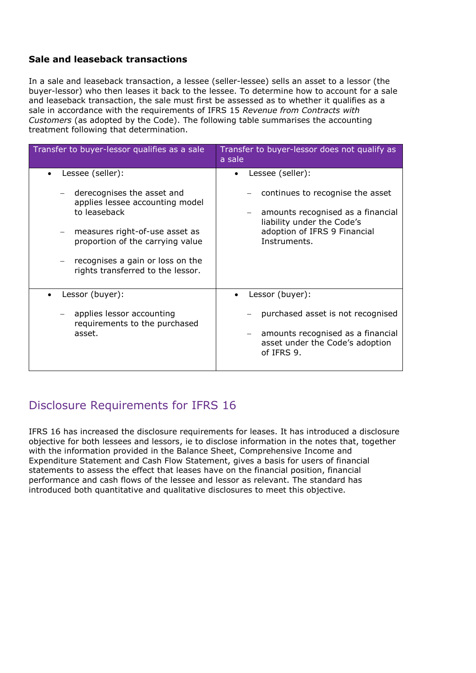#### **Sale and leaseback transactions**

In a sale and leaseback transaction, a lessee (seller-lessee) sells an asset to a lessor (the buyer-lessor) who then leases it back to the lessee. To determine how to account for a sale and leaseback transaction, the sale must first be assessed as to whether it qualifies as a sale in accordance with the requirements of IFRS 15 *Revenue from Contracts with Customers* (as adopted by the Code). The following table summarises the accounting treatment following that determination.

| Transfer to buyer-lessor qualifies as a sale                                                                                                                                                                                                                          | Transfer to buyer-lessor does not qualify as<br>a sale                                                                                                                  |
|-----------------------------------------------------------------------------------------------------------------------------------------------------------------------------------------------------------------------------------------------------------------------|-------------------------------------------------------------------------------------------------------------------------------------------------------------------------|
| Lessee (seller):<br>derecognises the asset and<br>applies lessee accounting model<br>to leaseback<br>measures right-of-use asset as<br>proportion of the carrying value<br>recognises a gain or loss on the<br>$\qquad \qquad -$<br>rights transferred to the lessor. | Lessee (seller):<br>continues to recognise the asset<br>amounts recognised as a financial<br>liability under the Code's<br>adoption of IFRS 9 Financial<br>Instruments. |
| Lessor (buyer):<br>applies lessor accounting<br>requirements to the purchased<br>asset.                                                                                                                                                                               | Lessor (buyer):<br>purchased asset is not recognised<br>amounts recognised as a financial<br>asset under the Code's adoption<br>of IFRS 9.                              |

# Disclosure Requirements for IFRS 16

IFRS 16 has increased the disclosure requirements for leases. It has introduced a disclosure objective for both lessees and lessors, ie to disclose information in the notes that, together with the information provided in the Balance Sheet, Comprehensive Income and Expenditure Statement and Cash Flow Statement, gives a basis for users of financial statements to assess the effect that leases have on the financial position, financial performance and cash flows of the lessee and lessor as relevant. The standard has introduced both quantitative and qualitative disclosures to meet this objective.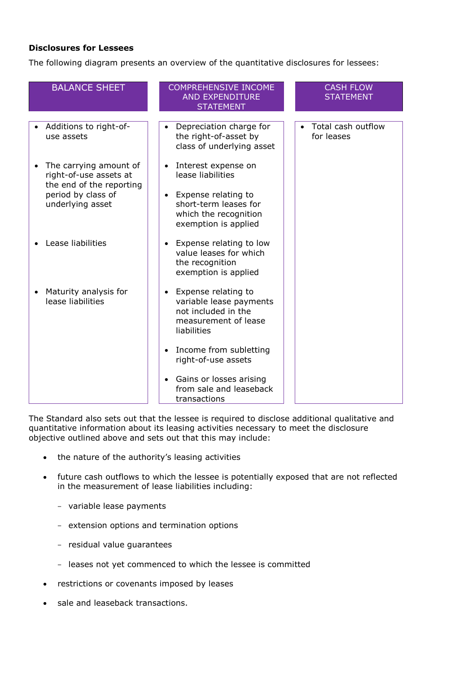#### **Disclosures for Lessees**

The following diagram presents an overview of the quantitative disclosures for lessees:

| <b>BALANCE SHEET</b>                                                         | <b>COMPREHENSIVE INCOME</b><br><b>AND EXPENDITURE</b><br><b>STATEMENT</b>                                                 | <b>CASH FLOW</b><br><b>STATEMENT</b> |
|------------------------------------------------------------------------------|---------------------------------------------------------------------------------------------------------------------------|--------------------------------------|
| Additions to right-of-<br>use assets                                         | Depreciation charge for<br>$\bullet$<br>the right-of-asset by<br>class of underlying asset                                | Total cash outflow<br>for leases     |
| The carrying amount of<br>right-of-use assets at<br>the end of the reporting | Interest expense on<br>lease liabilities                                                                                  |                                      |
| period by class of<br>underlying asset                                       | Expense relating to<br>$\bullet$<br>short-term leases for<br>which the recognition<br>exemption is applied                |                                      |
| Lease liabilities                                                            | Expense relating to low<br>$\bullet$<br>value leases for which<br>the recognition<br>exemption is applied                 |                                      |
| Maturity analysis for<br>lease liabilities                                   | Expense relating to<br>$\bullet$<br>variable lease payments<br>not included in the<br>measurement of lease<br>liabilities |                                      |
|                                                                              | Income from subletting<br>$\bullet$<br>right-of-use assets                                                                |                                      |
|                                                                              | Gains or losses arising<br>$\bullet$<br>from sale and leaseback<br>transactions                                           |                                      |

The Standard also sets out that the lessee is required to disclose additional qualitative and quantitative information about its leasing activities necessary to meet the disclosure objective outlined above and sets out that this may include:

- the nature of the authority's leasing activities
- future cash outflows to which the lessee is potentially exposed that are not reflected in the measurement of lease liabilities including:
	- variable lease payments
	- extension options and termination options
	- residual value guarantees
	- leases not yet commenced to which the lessee is committed
- restrictions or covenants imposed by leases
- sale and leaseback transactions.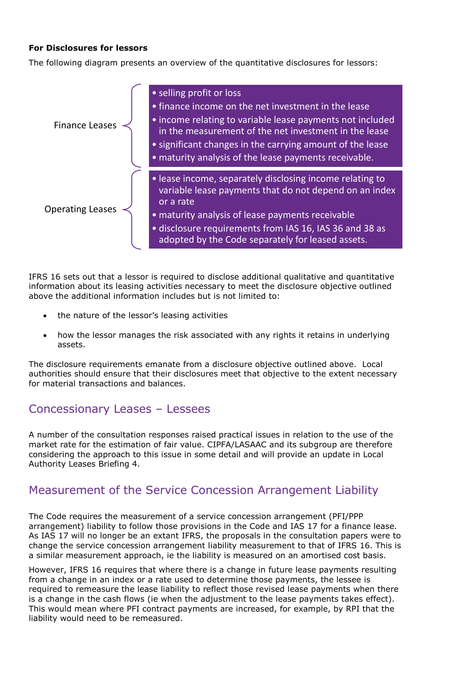#### **For Disclosures for lessors**

The following diagram presents an overview of the quantitative disclosures for lessors:



IFRS 16 sets out that a lessor is required to disclose additional qualitative and quantitative information about its leasing activities necessary to meet the disclosure objective outlined above the additional information includes but is not limited to:

- the nature of the lessor's leasing activities
- how the lessor manages the risk associated with any rights it retains in underlying assets.

The disclosure requirements emanate from a disclosure objective outlined above. Local authorities should ensure that their disclosures meet that objective to the extent necessary for material transactions and balances.

### Concessionary Leases – Lessees

A number of the consultation responses raised practical issues in relation to the use of the market rate for the estimation of fair value. CIPFA/LASAAC and its subgroup are therefore considering the approach to this issue in some detail and will provide an update in Local Authority Leases Briefing 4.

## Measurement of the Service Concession Arrangement Liability

The Code requires the measurement of a service concession arrangement (PFI/PPP arrangement) liability to follow those provisions in the Code and IAS 17 for a finance lease. As IAS 17 will no longer be an extant IFRS, the proposals in the consultation papers were to change the service concession arrangement liability measurement to that of IFRS 16. This is a similar measurement approach, ie the liability is measured on an amortised cost basis.

However, IFRS 16 requires that where there is a change in future lease payments resulting from a change in an index or a rate used to determine those payments, the lessee is required to remeasure the lease liability to reflect those revised lease payments when there is a change in the cash flows (ie when the adjustment to the lease payments takes effect). This would mean where PFI contract payments are increased, for example, by RPI that the liability would need to be remeasured.